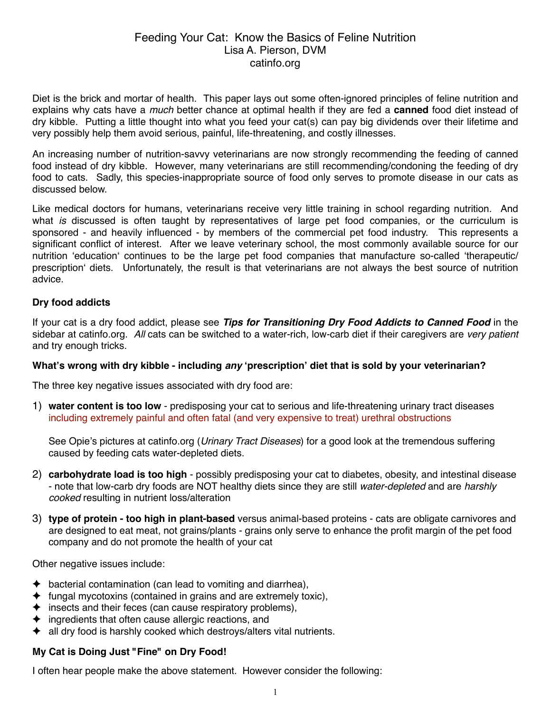# Feeding Your Cat: Know the Basics of Feline Nutrition Lisa A. Pierson, DVM catinfo.org

Diet is the brick and mortar of health. This paper lays out some often-ignored principles of feline nutrition and explains why cats have a *much* better chance at optimal health if they are fed a **canned** food diet instead of dry kibble. Putting a little thought into what you feed your cat(s) can pay big dividends over their lifetime and very possibly help them avoid serious, painful, life-threatening, and costly illnesses.

An increasing number of nutrition-savvy veterinarians are now strongly recommending the feeding of canned food instead of dry kibble. However, many veterinarians are still recommending/condoning the feeding of dry food to cats. Sadly, this species-inappropriate source of food only serves to promote disease in our cats as discussed below.

Like medical doctors for humans, veterinarians receive very little training in school regarding nutrition. And what *is* discussed is often taught by representatives of large pet food companies, or the curriculum is sponsored - and heavily influenced - by members of the commercial pet food industry. This represents a significant conflict of interest. After we leave veterinary school, the most commonly available source for our nutrition ʻeducationʻ continues to be the large pet food companies that manufacture so-called ʻtherapeutic/ prescriptionʻ diets. Unfortunately, the result is that veterinarians are not always the best source of nutrition advice.

## **Dry food addicts**

If your cat is a dry food addict, please see *Tips for Transitioning Dry Food Addicts to Canned Food* in the sidebar at catinfo.org. *All* cats can be switched to a water-rich, low-carb diet if their caregivers are *very patient* and try enough tricks.

## **What's wrong with dry kibble - including** *any* **ʻprescription' diet that is sold by your veterinarian?**

The three key negative issues associated with dry food are:

1) **water content is too low** - predisposing your cat to serious and life-threatening urinary tract diseases including extremely painful and often fatal (and very expensive to treat) urethral obstructions

See Opie's pictures at catinfo.org (*Urinary Tract Diseases*) for a good look at the tremendous suffering caused by feeding cats water-depleted diets.

- 2) **carbohydrate load is too high** possibly predisposing your cat to diabetes, obesity, and intestinal disease - note that low-carb dry foods are NOT healthy diets since they are still *water-depleted* and are *harshly cooked* resulting in nutrient loss/alteration
- 3) **type of protein too high in plant-based** versus animal-based proteins cats are obligate carnivores and are designed to eat meat, not grains/plants - grains only serve to enhance the profit margin of the pet food company and do not promote the health of your cat

Other negative issues include:

- $\blacklozenge$  bacterial contamination (can lead to vomiting and diarrhea),
- $\triangleq$  fungal mycotoxins (contained in grains and are extremely toxic),
- $\triangleq$  insects and their feces (can cause respiratory problems),
- ✦ ingredients that often cause allergic reactions, and
- ✦ all dry food is harshly cooked which destroys/alters vital nutrients.

## **My Cat is Doing Just "Fine" on Dry Food!**

I often hear people make the above statement. However consider the following: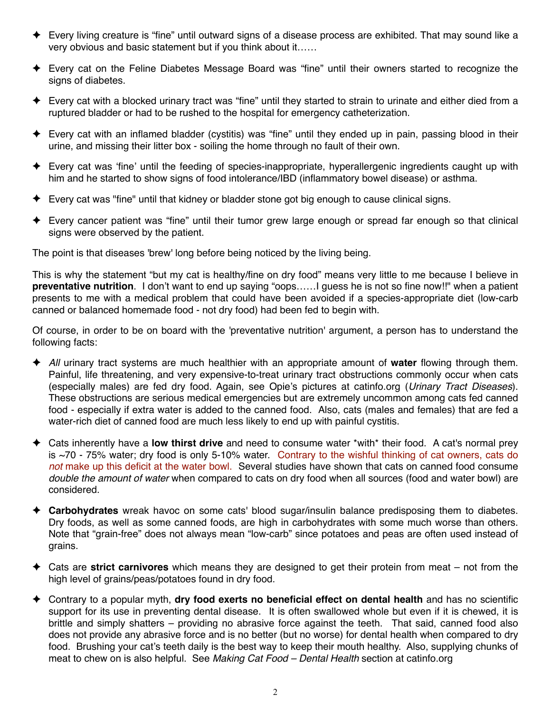- ✦ Every living creature is "fine" until outward signs of a disease process are exhibited. That may sound like a very obvious and basic statement but if you think about it……
- ✦ Every cat on the Feline Diabetes Message Board was "fine" until their owners started to recognize the signs of diabetes.
- ✦ Every cat with a blocked urinary tract was "fine" until they started to strain to urinate and either died from a ruptured bladder or had to be rushed to the hospital for emergency catheterization.
- ✦ Every cat with an inflamed bladder (cystitis) was "fine" until they ended up in pain, passing blood in their urine, and missing their litter box - soiling the home through no fault of their own.
- ✦ Every cat was ʻfine' until the feeding of species-inappropriate, hyperallergenic ingredients caught up with him and he started to show signs of food intolerance/IBD (inflammatory bowel disease) or asthma.
- ✦ Every cat was "fine" until that kidney or bladder stone got big enough to cause clinical signs.
- ✦ Every cancer patient was "fine" until their tumor grew large enough or spread far enough so that clinical signs were observed by the patient.

The point is that diseases 'brew' long before being noticed by the living being.

This is why the statement "but my cat is healthy/fine on dry food" means very little to me because I believe in **preventative nutrition**. I don't want to end up saying "oops……I guess he is not so fine now!!" when a patient presents to me with a medical problem that could have been avoided if a species-appropriate diet (low-carb canned or balanced homemade food - not dry food) had been fed to begin with.

Of course, in order to be on board with the 'preventative nutrition' argument, a person has to understand the following facts:

- ✦ *All* urinary tract systems are much healthier with an appropriate amount of **water** flowing through them. Painful, life threatening, and very expensive-to-treat urinary tract obstructions commonly occur when cats (especially males) are fed dry food. Again, see Opie's pictures at catinfo.org (*Urinary Tract Diseases*). These obstructions are serious medical emergencies but are extremely uncommon among cats fed canned food - especially if extra water is added to the canned food. Also, cats (males and females) that are fed a water-rich diet of canned food are much less likely to end up with painful cystitis.
- ✦ Cats inherently have a **low thirst drive** and need to consume water \*with\* their food. A cat's normal prey is ~70 - 75% water; dry food is only 5-10% water. Contrary to the wishful thinking of cat owners, cats do *not* make up this deficit at the water bowl. Several studies have shown that cats on canned food consume *double the amount of water* when compared to cats on dry food when all sources (food and water bowl) are considered.
- ✦ **Carbohydrates** wreak havoc on some cats' blood sugar/insulin balance predisposing them to diabetes. Dry foods, as well as some canned foods, are high in carbohydrates with some much worse than others. Note that "grain-free" does not always mean "low-carb" since potatoes and peas are often used instead of grains.
- ✦ Cats are **strict carnivores** which means they are designed to get their protein from meat not from the high level of grains/peas/potatoes found in dry food.
- ✦ Contrary to a popular myth, **dry food exerts no beneficial effect on dental health** and has no scientific support for its use in preventing dental disease. It is often swallowed whole but even if it is chewed, it is brittle and simply shatters – providing no abrasive force against the teeth. That said, canned food also does not provide any abrasive force and is no better (but no worse) for dental health when compared to dry food. Brushing your cat's teeth daily is the best way to keep their mouth healthy. Also, supplying chunks of meat to chew on is also helpful. See *Making Cat Food – Dental Health* section at catinfo.org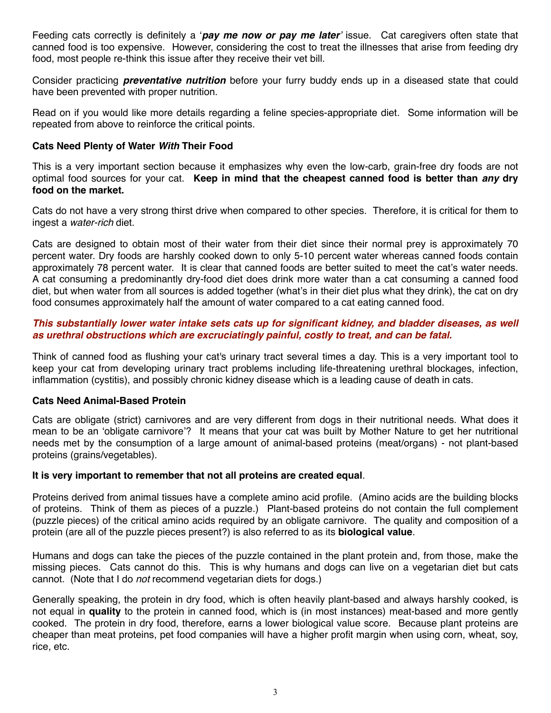Feeding cats correctly is definitely a ʻ*pay me now or pay me later*' issue. Cat caregivers often state that canned food is too expensive. However, considering the cost to treat the illnesses that arise from feeding dry food, most people re-think this issue after they receive their vet bill.

Consider practicing *preventative nutrition* before your furry buddy ends up in a diseased state that could have been prevented with proper nutrition.

Read on if you would like more details regarding a feline species-appropriate diet. Some information will be repeated from above to reinforce the critical points.

#### **Cats Need Plenty of Water** *With* **Their Food**

This is a very important section because it emphasizes why even the low-carb, grain-free dry foods are not optimal food sources for your cat. **Keep in mind that the cheapest canned food is better than** *any* **dry food on the market.**

Cats do not have a very strong thirst drive when compared to other species. Therefore, it is critical for them to ingest a *water-rich* diet.

Cats are designed to obtain most of their water from their diet since their normal prey is approximately 70 percent water. Dry foods are harshly cooked down to only 5-10 percent water whereas canned foods contain approximately 78 percent water. It is clear that canned foods are better suited to meet the cat's water needs. A cat consuming a predominantly dry-food diet does drink more water than a cat consuming a canned food diet, but when water from all sources is added together (what's in their diet plus what they drink), the cat on dry food consumes approximately half the amount of water compared to a cat eating canned food.

#### *This substantially lower water intake sets cats up for significant kidney, and bladder diseases, as well as urethral obstructions which are excruciatingly painful, costly to treat, and can be fatal.*

Think of canned food as flushing your cat's urinary tract several times a day. This is a very important tool to keep your cat from developing urinary tract problems including life-threatening urethral blockages, infection, inflammation (cystitis), and possibly chronic kidney disease which is a leading cause of death in cats.

#### **Cats Need Animal-Based Protein**

Cats are obligate (strict) carnivores and are very different from dogs in their nutritional needs. What does it mean to be an ʻobligate carnivore'? It means that your cat was built by Mother Nature to get her nutritional needs met by the consumption of a large amount of animal-based proteins (meat/organs) - not plant-based proteins (grains/vegetables).

#### **It is very important to remember that not all proteins are created equal**.

Proteins derived from animal tissues have a complete amino acid profile. (Amino acids are the building blocks of proteins. Think of them as pieces of a puzzle.) Plant-based proteins do not contain the full complement (puzzle pieces) of the critical amino acids required by an obligate carnivore. The quality and composition of a protein (are all of the puzzle pieces present?) is also referred to as its **biological value**.

Humans and dogs can take the pieces of the puzzle contained in the plant protein and, from those, make the missing pieces. Cats cannot do this. This is why humans and dogs can live on a vegetarian diet but cats cannot. (Note that I do *not* recommend vegetarian diets for dogs.)

Generally speaking, the protein in dry food, which is often heavily plant-based and always harshly cooked, is not equal in **quality** to the protein in canned food, which is (in most instances) meat-based and more gently cooked. The protein in dry food, therefore, earns a lower biological value score. Because plant proteins are cheaper than meat proteins, pet food companies will have a higher profit margin when using corn, wheat, soy, rice, etc.